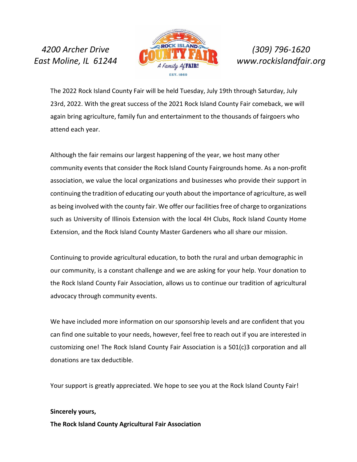

The 2022 Rock Island County Fair will be held Tuesday, July 19th through Saturday, July 23rd, 2022. With the great success of the 2021 Rock Island County Fair comeback, we will again bring agriculture, family fun and entertainment to the thousands of fairgoers who attend each year.

Although the fair remains our largest happening of the year, we host many other community events that consider the Rock Island County Fairgrounds home. As a non-profit association, we value the local organizations and businesses who provide their support in continuing the tradition of educating our youth about the importance of agriculture, as well as being involved with the county fair. We offer our facilities free of charge to organizations such as University of Illinois Extension with the local 4H Clubs, Rock Island County Home Extension, and the Rock Island County Master Gardeners who all share our mission.

Continuing to provide agricultural education, to both the rural and urban demographic in our community, is a constant challenge and we are asking for your help. Your donation to the Rock Island County Fair Association, allows us to continue our tradition of agricultural advocacy through community events.

We have included more information on our sponsorship levels and are confident that you can find one suitable to your needs, however, feel free to reach out if you are interested in customizing one! The Rock Island County Fair Association is a 501(c)3 corporation and all donations are tax deductible.

Your support is greatly appreciated. We hope to see you at the Rock Island County Fair!

#### **Sincerely yours,**

**The Rock Island County Agricultural Fair Association**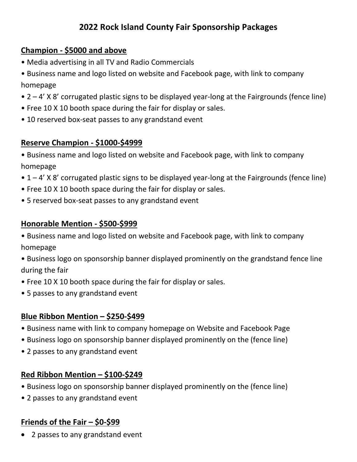# **2022 Rock Island County Fair Sponsorship Packages**

#### **Champion - \$5000 and above**

- Media advertising in all TV and Radio Commercials
- Business name and logo listed on website and Facebook page, with link to company homepage
- 2 4' X 8' corrugated plastic signs to be displayed year-long at the Fairgrounds (fence line)
- Free 10 X 10 booth space during the fair for display or sales.
- 10 reserved box-seat passes to any grandstand event

## **Reserve Champion - \$1000-\$4999**

- Business name and logo listed on website and Facebook page, with link to company homepage
- 1 4' X 8' corrugated plastic signs to be displayed year-long at the Fairgrounds (fence line)
- Free 10 X 10 booth space during the fair for display or sales.
- 5 reserved box-seat passes to any grandstand event

#### **Honorable Mention - \$500-\$999**

- Business name and logo listed on website and Facebook page, with link to company homepage
- Business logo on sponsorship banner displayed prominently on the grandstand fence line during the fair
- Free 10 X 10 booth space during the fair for display or sales.
- 5 passes to any grandstand event

## **Blue Ribbon Mention – \$250-\$499**

- Business name with link to company homepage on Website and Facebook Page
- Business logo on sponsorship banner displayed prominently on the (fence line)
- 2 passes to any grandstand event

## **Red Ribbon Mention – \$100-\$249**

- Business logo on sponsorship banner displayed prominently on the (fence line)
- 2 passes to any grandstand event

## **Friends of the Fair – \$0-\$99**

• 2 passes to any grandstand event